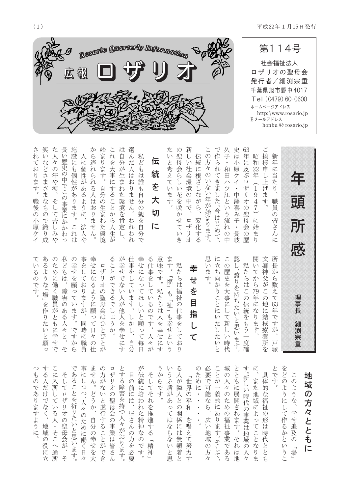

| ご<br>新<br>63<br>$\tilde{\phantom{0}}$<br>久<br>史<br>で<br>作<br>$\mathcal{O}$<br>は<br>挨<br>子<br>新<br>伝<br>年<br>昭<br>統<br>$\overline{V}$<br>ら<br>拶<br>年<br>小<br>和<br>方<br>に<br>$\bullet$<br>社<br>k<br>れ<br>和<br>及<br>に<br>に<br>原<br>申<br>22<br>年<br>会<br>根<br>年<br>$\mathcal{O}$<br>ケ<br>ぞ<br>$\tau$<br>当<br>田<br>$\sum_{i=1}^{n}$<br>きま<br>環<br>$\sum_{i=1}^{n}$<br>Ŀ<br>た<br>Ņ١<br>$\overline{\Lambda}$<br>$\Box$<br>$\overline{a}$<br>$\vec{z}$<br>境<br>げ<br>しなが<br>ッ<br>ザ<br>$\mathbf{1}$<br>$\mathfrak{y}$<br>$\bullet$<br>い年が始まります。<br>中澤喜み子<br>ます<br>9<br>$\mathcal{O}$<br>江<br>した。今はじめ<br>IJ<br>$\lambda$<br>頭<br>中で、<br>という流<br>才<br>$\overline{4}$<br>職員<br>$\zeta$<br>$\mathcal{O}$<br>$\sqrt{ }$<br>聖母<br>$\lambda$<br>$\mathcal{O}$<br>皆さん<br>変化する<br>ロザリオ<br>に<br>所<br>슺<br>始<br>れ<br>$\ddot{\phantom{0}}$<br>$\mathcal{O}$<br>長<br>ま<br>の<br>$\overline{\zeta}$<br>岐<br>歴<br>に<br>中<br>$\mathfrak{y}$<br>感 | 思<br>認<br>開<br>所<br>に<br>$\subset$<br>文<br>立<br>長<br>卿<br>私<br>$\vee$<br>$\mathcal{O}$<br>$\vee$<br>L<br>去 |
|-----------------------------------------------------------------------------------------------------------------------------------------------------------------------------------------------------------------------------------------------------------------------------------------------------------------------------------------------------------------------------------------------------------------------------------------------------------------------------------------------------------------------------------------------------------------------------------------------------------------------------------------------------------------------------------------------------------------------------------------------------------------------------------------------------------------------------------------------------------------------------------------------------------------------|------------------------------------------------------------------------------------------------------------|
|                                                                                                                                                                                                                                                                                                                                                                                                                                                                                                                                                                                                                                                                                                                                                                                                                                                                                                                       |                                                                                                            |
|                                                                                                                                                                                                                                                                                                                                                                                                                                                                                                                                                                                                                                                                                                                                                                                                                                                                                                                       |                                                                                                            |
| の<br>聖<br>母<br>슺<br>$\zeta$<br>$\cup$<br>$\vee$<br>花を咲か<br>せていき                                                                                                                                                                                                                                                                                                                                                                                                                                                                                                                                                                                                                                                                                                                                                                                                                                                       | 私                                                                                                          |
| た<br>V١<br>と<br>考え<br>$\tau$<br>$\vee$<br>ます<br>$\Omega$                                                                                                                                                                                                                                                                                                                                                                                                                                                                                                                                                                                                                                                                                                                                                                                                                                                              | ます                                                                                                         |
| 伝<br>統<br>を<br>大<br>切<br>に                                                                                                                                                                                                                                                                                                                                                                                                                                                                                                                                                                                                                                                                                                                                                                                                                                                                                            | 意味<br>る<br>仕                                                                                               |
| 私<br>ど<br>$\phi$<br>は<br>誰<br>も自分<br>$\mathcal{O}$<br>親を<br>自<br>分<br>で                                                                                                                                                                                                                                                                                                                                                                                                                                                                                                                                                                                                                                                                                                                                                                                                                                               | 幸せ                                                                                                         |
| 選<br>は<br>首分<br>$\lambda$<br>だ<br>が<br>人<br>生ま<br>は<br>お<br>$\overline{\hbar}$<br>·りませ<br>た環<br>無境を肯<br>$\lambda$<br>$\overline{\phantom{0}}$<br>わ<br>定<br>れ<br>わ<br>れ                                                                                                                                                                                                                                                                                                                                                                                                                                                                                                                                                                                                                                                                                                                                                | が幸<br>仕<br>事                                                                                               |
| 始ま<br>$\mathcal{L}$<br>れ<br>を<br>$\mathfrak{h}$<br>大<br>ま<br>寸<br>事<br>$\circ$<br>に<br>寸<br>自分の<br>$\mathcal{Z}_{\mathcal{S}}^{(n)}$<br>$\stackrel{\textstyle\thicksim}{\textstyle\sim}$<br>生まれ<br>とから<br>た<br>$\overline{\wedge}$<br>環境<br>生<br>が                                                                                                                                                                                                                                                                                                                                                                                                                                                                                                                                                                                                                                                                    | る<br>$\mathrel{\smash\smile}$<br>$\Box$                                                                    |
| か<br>ら<br>逃<br>れ<br>られ<br>$\lesssim$<br>人<br>は<br>お<br>$\mathfrak{y}$<br>ませ<br>$\lambda$                                                                                                                                                                                                                                                                                                                                                                                                                                                                                                                                                                                                                                                                                                                                                                                                                              | 幸<br>せ                                                                                                     |
| に<br>個<br>性<br>が<br>あるように、<br>法<br>人<br>g                                                                                                                                                                                                                                                                                                                                                                                                                                                                                                                                                                                                                                                                                                                                                                                                                                                                             | 事を                                                                                                         |
| 施<br>長<br>設<br>い<br>歴<br>に<br>史<br>$\oint$<br>の中でこの事業にか<br>個性があります。<br>か<br>$\widetilde{\phantom{a}}$<br>れ<br>わ<br>は<br>つ                                                                                                                                                                                                                                                                                                                                                                                                                                                                                                                                                                                                                                                                                                                                                                                             | 私<br>の<br>幸<br>ど                                                                                           |
| た<br>人<br>々<br>$\mathcal{O}$<br>汗や涙、<br>そして苦<br>$\cup$<br>$\overline{A}$<br>&                                                                                                                                                                                                                                                                                                                                                                                                                                                                                                                                                                                                                                                                                                                                                                                                                                         | $\mathcal{O}$<br>た                                                                                         |
| 笑<br>い<br>$\vec{z}$<br>どさまざまなもの<br>$\widetilde{\mathbb{C}}$<br>織<br>$\mathfrak{y}$<br>成                                                                                                                                                                                                                                                                                                                                                                                                                                                                                                                                                                                                                                                                                                                                                                                                                               | あ<br>$\zeta$                                                                                               |
| $\zeta$<br>れ<br>$\tau$<br>お<br>.<br>ります。<br>戦<br>後の<br>小<br>原<br>ケ<br>$\overline{\mathcal{A}}$                                                                                                                                                                                                                                                                                                                                                                                                                                                                                                                                                                                                                                                                                                                                                                                                                        | V١                                                                                                         |

| 理事長<br>細渕宗重                                                                                                                                                                                                                |
|----------------------------------------------------------------------------------------------------------------------------------------------------------------------------------------------------------------------------|
| 所<br>長<br>卿<br>神<br>か<br>ら<br>父<br>数え<br>が<br>$\mathord{\subset}$<br>て<br>$\mathcal{O}$<br>地<br>63<br>年<br>に<br>結<br>$\widetilde{C}$<br>寸<br>核<br>療<br>が<br>養所<br>$\sqrt{2}$<br>戸<br>を<br>塚                                |
| 開<br>私<br>い<br>たちはこの<br>ふら79<br>年<br>伝統をもう<br>に<br>$\vec{z}$<br>ります<br>一度<br>確                                                                                                                                             |
| 認<br>$\mathcal{O}$<br>歴史を大事に<br>誇りを持ちたいと思い<br>して新<br>$\downarrow$<br>$\backslash\!\!\backslash$<br>ます。<br>時代                                                                                                               |
| 思<br>に<br>立<br>ち<br>い<br>ます。<br>向か<br>らこと<br>に<br>いた<br>した<br>V١<br>と                                                                                                                                                      |
| 幸<br>せ<br>を<br>目<br>指<br>て                                                                                                                                                                                                 |
| ます<br>私<br>た<br>$\circ$<br>ち<br>福<br>は<br>Ľ.<br>福祉<br>$\mathcal{L}$<br>$\frac{1}{2}$<br>$\mathcal{O}$<br>祉<br>仕<br>$\overline{\phantom{0}}$<br>…<br>事<br>も幸<br>を<br>せ<br>$\cup$<br>と<br>て<br>お<br>い<br>う<br>$\mathfrak{y}$ |
| 意<br>味<br>で<br>寸<br>$\circ$<br>私たちは<br>人を幸<br>せ<br>に<br>寸                                                                                                                                                                  |
| 幸せ<br>る<br>仕<br>事を<br>に<br>なっ<br>し<br>$\tau$<br>$\tau$<br>ほ<br>いるの<br>$\cup$<br>$\vee$<br>と願<br>$\sqrt{2}$<br>寸<br>$\circ$<br>$\tau$<br>V<br>毎<br>々<br>日<br>が                                                              |
| が<br>幸<br> 事を<br>せ<br>$\mathcal{L}$<br>$\overline{z}$<br>$\tau$<br>ŀ١<br>い<br>ます<br>人<br>が<br>他<br>$\circ$<br>人<br>を幸<br>か<br>Ļ<br>せ<br>自<br>に<br>分<br>す                                                                   |
| るこ<br>と<br>が<br>$\widetilde{\mathbb{C}}$<br>き<br>$\overline{\mathcal{L}}$<br>で<br>L<br>$\ddot{\mathcal{L}}$<br>う<br>か<br>$\circ$                                                                                           |
| 口<br>ザ<br>IJ<br>才<br>$\mathcal{O}$<br>聖<br>母<br>会<br>は<br>ひ<br>と<br>び<br>と<br>が                                                                                                                                            |
| 幸<br>せ<br>に<br>なる<br>よう<br>に<br>願<br>つ<br>日<br>々<br>$\mathcal{O}$                                                                                                                                                          |
| 事を<br>$\tau$<br>お<br>ります<br>が<br>同<br>時<br>に<br>職<br>員                                                                                                                                                                     |
| の<br>幸<br>せ<br>を願<br>つ<br>$\tau$<br>い<br>ま<br>寸<br>$\circ$<br>で<br>寸<br>か<br>ら                                                                                                                                             |
| ど<br>$\oint$<br>は<br>障害<br>$\mathcal{O}$<br>あ<br>$\zeta$<br>$\overline{\wedge}$<br>k<br>と<br>そ                                                                                                                             |
| O<br>た<br>め<br>に<br>働<br>$\leq$<br>職員<br>が<br>とも<br>に<br>幸<br>也<br>で                                                                                                                                                       |
| あ<br>る<br>ら<br>な<br>「場」<br>を<br>作<br>ŋ<br>た<br>l١<br>と<br>願<br>つ                                                                                                                                                           |
| い<br>$\zeta$<br>$\mathcal{O}$<br>で<br>す。                                                                                                                                                                                   |

|               | $\sqrt{2}$                |                                                       |               |        | 事             | ま       | O)    | 口              | と    |               | カフ                        |         | $\gamma$ | V)     | ∕             |                | Ø         | 必  | $\subset$                | 墩                        | と      | 可              | kΣ            |               | と | を             |               |   |
|---------------|---------------------------|-------------------------------------------------------|---------------|--------|---------------|---------|-------|----------------|------|---------------|---------------------------|---------|----------|--------|---------------|----------------|-----------|----|--------------------------|--------------------------|--------|----------------|---------------|---------------|---|---------------|---------------|---|
| P             | $\zeta$                   | に                                                     | そ             | あ      | に             | せ       | 力     | ザ              | す    | 目             | 伝                         | そ       | か        | う      |               |                | た         | 要  | と                        | $\mathcal{O}$            | とも     | 新              |               | 具             | で | ど             | $\subset$     | 地 |
| $\mathcal{D}$ |                           |                                                       |               | る      |               |         | が     | IJ             | る障   | の             | 統                         |         | ら        | 矛      | が             | 世              | め         | で  | が                        |                          |        |                | ま             | 体             | 寸 | $\mathcal{O}$ | $\mathcal{O}$ |   |
| で             | だ                         | 所                                                     |               |        | ↷             | $\circ$ | な     | 才              |      | 前             | に                         |         | で        | 盾      | 隣             | 界              | に         | 可  | $\overline{\phantom{a}}$ | Þ                        | に      | $\overline{V}$ | た             | 的             |   | ∽             |               | 域 |
| あ             | け                         |                                                       | 口             |        | ↷             | ど       | い     | $\mathcal{O}$  |      | に             | 培                         | そ       | 寸        | が      |               | $\mathcal{O}$  |           | 能  | 義                        | $\mathcal{O}$            |        | 時              | 地             |               |   | う             | よう            | の |
| ŋ             | で                         | $\tau$                                                | ザ             | とを祈    |               | う       |       | 聖母             | 害を持つ | は             | わ                         | れ       |          | あ      | と             | 平              | $\bullet$ | な  | 的                        | た                        | 展開     | 代              | 域             | な福            |   | に             | な             | 方 |
| ま             | な                         | $\vee$                                                | IJ            |        | 人々            | か       | と遂    |                |      |               | れ                         | を       |          | っ      | $\mathcal{O}$ | 和              | $\bullet$ | ら  | に                        | め                        | y<br>Z | $\mathcal{O}$  | に             | 祉             |   |               |               |   |
| 寸             |                           | $\zeta$                                               | 才             | りた     | $\mathcal{O}$ |         | 行     | 슺              |      |               | た                         | 推       |          | $\tau$ | 関             |                |           |    | あ                        | $\mathcal{O}$            | れ      |                | よ             | $\mathcal{O}$ |   | て             | 幸             | 々 |
| よ             |                           |                                                       | $\mathcal{O}$ |        | た             |         | 寸     | $\overline{O}$ | 人    | 皆さ            | 精                         | 進       |          | は      | 係             | を              | $\bullet$ | 広  | Ŋ                        |                          | ます。    | 事業             | $\hat{}$      | 形             |   | 作             | せ             |   |
| う             | 地                         | $\bullet$                                             |               | いと思    | め             | 自分の幸    |       |                | k    | $\lambda$     | 神                         | 寸       |          | な      | に             | 唱              | $\circ$   | い  | ます                       | 福祉事業                     |        | は              | $\tau$        | は             |   | る             | 追及            |   |
| に             | 域                         | そ                                                     | 聖母            |        | に             |         | ることがで | 事業は皆さ          | が    | $\mathcal{O}$ | な                         | $\zeta$ |          | ら      | は             | 之              |           | 地  |                          |                          |        | 地              |               | 時             |   | か             |               |   |
|               | $\mathcal{O}$             | $\stackrel{\textstyle\thicksim}{\textstyle\thicksim}$ |               |        | 働             |         |       |                | お    | 力             | $\mathcal{O}$             | ┑       |          | な      | 無             | $\tau$         |           | 域  | $\circ$                  |                          | そ      | 域              | と             | 代             |   | と             | $\mathcal{O}$ |   |
|               | 役                         | $\curvearrowright$                                    | 会が            | $\vee$ |               |         |       |                | ります。 | を             | $\widetilde{\mathcal{C}}$ | 精       |          | V١     | 頓             | 努              |           | の  | そ                        | $\widetilde{\mathbb{C}}$ | れ      | $\mathcal{O}$  | な             | と             |   | l١            |               |   |
|               | に                         |                                                       |               | ます。    |               | せを大     |       |                |      | 必要            | 寸                         | 神       |          |        | 着             | 力              |           | 方々 | $\frac{C}{\tau}$         | あ                        | は      | 人              | ŋ             | と             |   |               | 場             |   |
|               | $\overline{\overline{r}}$ | 通所                                                    | $7 -$         |        | 日々            |         | 主     | $\lambda$      |      |               | $\circ$                   |         |          | と思     | レ             | $\overline{d}$ |           |    |                          | $\zeta$                  | 地      | 々              | $\frac{1}{2}$ |               |   | うこ            |               |   |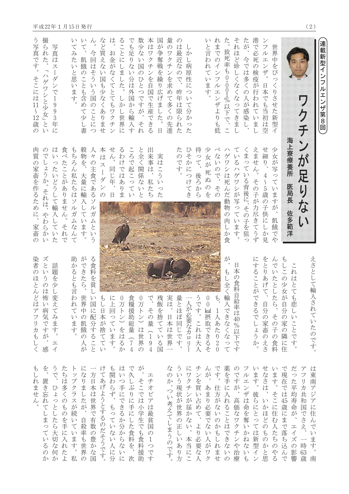| 連載新型イ<br>ンフルエンザ第8回                                                                                  |                                                                                           |                                                                                                                                                                                 |                                                                                                                                         |
|-----------------------------------------------------------------------------------------------------|-------------------------------------------------------------------------------------------|---------------------------------------------------------------------------------------------------------------------------------------------------------------------------------|-----------------------------------------------------------------------------------------------------------------------------------------|
|                                                                                                     |                                                                                           | えさとして輪<br>入<br>へされ<br>ていたのです。                                                                                                                                                   | は<br>東<br>南<br>アジ<br>$\overline{\mathcal{T}}$<br>に住<br>$\lambda\prime$<br>$\vec{C}$<br>$\vee$<br>ます。<br>南                               |
| ワク                                                                                                  | ンが<br>足り<br>な<br>$\mathsf{L}$                                                             |                                                                                                                                                                                 | $\overline{\mathcal{F}}$<br>$\overline{z}$<br>リカ共<br>和<br>国<br>でさえ、<br>$\overline{\phantom{0}}$<br>時<br>63<br>歳                         |
|                                                                                                     | 海上寮療養所<br>医局長<br>佐多範洋                                                                     | $\mathop{\smile}\limits^{}$<br>れ<br>は<br>とて<br>$\oint$<br>悲<br>$\downarrow$<br>$\vee$<br>$\stackrel{\textstyle\thicksim}{\smile}$<br>$\overleftarrow{c}$<br>$\sqrt{\cdot}$<br>寸 | だ<br>$\circ$<br>た<br>平<br>均<br>寿<br>命<br>が<br>$\begin{array}{c}\n\hline\n\end{array}$<br>$\overline{A}$<br>ズ<br>$\mathcal{O}$<br>影<br>響 |
|                                                                                                     |                                                                                           | P<br>しこの少女が自分の家の隣に住                                                                                                                                                             | で現在<br>ニでは<br>$45\,$<br>歳にまで落<br>ら込<br>$\overline{\lambda}$<br>で                                                                        |
| 世<br>界中をびっ<br>$\leq$<br>りさせた新型<br>$\overline{\Lambda}$                                              | 少女が<br>写<br>$\circ$<br>$\tau$<br>います<br>が<br>$\overline{\phantom{a}}$<br>飢<br>餓<br>で<br>¢ | $\lambda\hskip-3pt\omega$<br>でいたとしたら、<br>その子<br>・の食料                                                                                                                            | います。<br>そこに住む人<br>へたち<br>$\mathcal{O}$<br>$\sum_{i=1}^{n}$<br>$\zeta$                                                                   |
| フルエンザ。<br>日本でも当初は空                                                                                  | せ細り、<br>4 ~ 5 歳の子供にし<br>か見                                                                | をとりあげて、<br>自分の家畜<br>のえさ                                                                                                                                                         | せなさは、<br>いかほどのも<br>$\mathcal{O}$<br>かと思                                                                                                 |
| 港<br>!で必死<br>の検疫が行わ<br>れていまし                                                                        | えません<br>$\circ$<br>その子が力尽きてうず                                                             | に<br>することが<br>できるでしょうか。                                                                                                                                                         | います。<br>彼らにとっては<br>新<br>型<br>イン                                                                                                         |
| たが、<br>今では多く<br>の人が感染し、                                                                             | くまっている背後に、その子を狙<br>っ                                                                      |                                                                                                                                                                                 | フルエンザは<br>一命を奪<br>いかね<br>な<br>$\mathit{V}^{\lambda}$<br>$\mathcal{P}$                                                                   |
| それほど珍しくなくなってきま<br>$\cup$                                                                            | ている<br>ハゲワシが写っています。                                                                       | 日<br>本の食料自<br>「給率は<br>40%以下です                                                                                                                                                   | のですが、<br>高<br>価なワクチンや治療                                                                                                                 |
| た。<br>致死率も0・001%以下で、<br>$\mathbf{M}$                                                                | ゲワシは死んだ動物<br>$\overline{O}$<br>肉しか食                                                       | が<br>もし全く輸入できなくな<br>つて                                                                                                                                                          | 薬を手に入れることはできな<br>$\backslash\!\!\backslash$<br>$\mathcal{O}$                                                                            |
| れまでのインフルエンザよりも<br>低                                                                                 | $\mathcal{L}$<br>ないので、<br>その                                                              | $\hat{\varphi}$<br>1人あたり20                                                                                                                                                      | です。仕方がな<br>いの<br>かもしれませ                                                                                                                 |
| Ņ١<br>と言わ<br>れています。                                                                                 | 少<br>女が<br>死<br>ぬ<br>$\mathcal{O}$<br>を                                                   | 00 【 摂取できるそ                                                                                                                                                                     | んが、あまり必要で<br>$\vec{z}$<br>い人<br>が<br>ワク                                                                                                 |
|                                                                                                     | 待<br>うて、<br>後ろから                                                                          | うです。これは<br>大人                                                                                                                                                                   | チンを買い占めて、より必要な人                                                                                                                         |
| か<br>$\downarrow$<br>病<br>原<br>性<br>に<br>$\bigcirc$<br>$\vee$<br>$\tau$<br>分<br>か<br>$\hat{C}$<br>た | ひそかにつけてき                                                                                  | 人が必要なカロ<br>IJ                                                                                                                                                                   | に<br>ワクチンが届かない、<br>本当にこ                                                                                                                 |
| Ø<br>は最<br>近<br>沄<br>$\mathcal{O}$<br>$\widetilde{C}$<br>昨<br>车<br>は<br>限られた                        | た<br>のです。                                                                                 | 量とほぼ同じです。                                                                                                                                                                       | ういう現状が世界の正し<br>いあり方                                                                                                                     |
| ワク<br>チ<br>シを求<br>$\dot{\vartheta}$<br>て多くの先進                                                       |                                                                                           | 実は、<br>日本は世界一                                                                                                                                                                   | な<br>$\mathcal{O}$<br>か、つ<br>い考えてしまうのです。                                                                                                |
| 匡<br>が<br>争奪戦<br>を<br>繰<br>り<br>広<br>げ<br>主<br>した。<br>日                                             | 実<br>は<br>こうい<br>っ<br>た                                                                   | 残飯を捨てて<br>いる<br>国                                                                                                                                                               |                                                                                                                                         |
| は<br>ワクチンを自国で生産できる                                                                                  | 出来事は、<br>私たち                                                                              | で、その量<br>$\begin{array}{c}\n1 \\ 9 \\ 4\n\end{array}$                                                                                                                           | $\begin{array}{c}\n\hline\n\end{array}$<br>チオピ<br>$\overline{y}$<br>は最貧!<br>国<br>$\mathcal{O}$<br>うしつで<br>寸                             |
| 数<br>少な<br>$\backslash\!\!\backslash$<br>国<br>$\mathcal{O}$<br>ひとつですが、<br>それ                        | と全く関係<br>公<br>$\vee$<br>$\sum$                                                            | 0万トン)<br>は世界の                                                                                                                                                                   | が<br>そこでは<br>小学生でも食<br>料<br>援<br>助                                                                                                      |
| でも足りな<br>い分は外国から輸入す                                                                                 | ころで起こってい                                                                                  | 食糧援助総量 (7<br>$\overline{4}$                                                                                                                                                     | で久しぶりに手に<br>した食料を、<br>次                                                                                                                 |
| ることにしま<br>した。<br>$\downarrow$<br>$\bigwedge^{\mathbb{Z}}$<br>·し世界·<br>$i\subset$                    | るわ<br>けではあ<br>りま                                                                          | 0万トン) をはる<br>か                                                                                                                                                                  | は<br>いつ手にできるか<br>分からな<br>いに                                                                                                             |
| は<br>お<br>金がなくてとてもワクチ<br>$\vee$                                                                     | せん。<br>同じ年、<br>$\Box$                                                                     | に<br>上回っています。                                                                                                                                                                   | も関わらず、もって<br>いな<br>い人に分                                                                                                                 |
| など買えな<br>$\bigvee$<br>国も少なくあ<br><b>ッませ</b>                                                          | 本<br>は<br>$\overline{\mathcal{X}}$<br>$\begin{array}{c} \end{array}$<br>ダンの               | $\oint$<br>し日本が<br>捨<br>デててい                                                                                                                                                    | けてあげようとするのだそうです。                                                                                                                        |
| 今回はそういう国<br>$\mathcal{O}$<br>ことに<br>つ                                                               | k<br>$\mathcal{O}$<br>主食である<br>$\mathcal{Y}$<br>ル<br>ガ<br>$\Delta$<br>とい<br>$\tilde{5}$   | る食料を<br>貧し<br>国に<br>配<br>分するこ<br>$\overline{\mathcal{L}}$                                                                                                                       | $\longrightarrow$<br>方日本は世界で有数の豊かな<br>国                                                                                                 |
| て、<br>飢餓のことも含め<br>て少し書                                                                              | 穀物を、大量に輸<br>ています。                                                                         | ができたら、<br>世<br>界中の飢餓<br>$\mathcal{O}$<br>人<br>が                                                                                                                                 | になりましたが、<br>自殺率も世界<br>$\mathcal{O}$                                                                                                     |
| い<br>$\tau$<br>みた<br>いと思います。                                                                        | P<br>ちろん私たちは<br>ソルガムな<br>$\lambda$<br>て                                                   | 助<br>かるとも言<br>わ<br>れ<br>$\tau$<br>います。                                                                                                                                          | $\vdash$<br>Ÿ<br>プクラスが続<br>いています。<br>私                                                                                                  |
|                                                                                                     | 食べたことがありません。<br>それ<br>で                                                                   |                                                                                                                                                                                 | たちは多くのものを手に入れたよ                                                                                                                         |
| 写真<br>は<br>$\overline{\mathcal{X}}$<br>$\mathcal{I}$<br>ダンで1993年に                                   | は<br>$\vee$<br>ったいどうして輸入<br>していた                                                          | 話<br>題を少し<br>変えて<br>みます。<br>$\begin{array}{c}\n\hline\n\end{array}$<br>$\overline{\mathcal{A}}$                                                                                 | うで、<br>ひょっとしたら大切な何か                                                                                                                     |
| 撮られた、<br>ハゲワシと少女」と<br>$\vee$                                                                        | $\mathcal{O}$<br>でしょうか。 それは、 やわらか<br>$\vee$                                               | ズというのは怖<br>い病気ですが、<br>感                                                                                                                                                         | を、<br>置き忘れてしまっている<br>$\mathcal{O}$<br>か                                                                                                 |
| う写真です。<br>そこには11〜12歳<br>$\mathcal{O}$                                                               | 肉質<br>の家畜を作るために、<br>家畜<br>$\mathcal{O}$                                                   | 染者<br>のほとん<br>$\mathcal{E}$<br>は<br>$\overline{y}$<br>フリカも<br>$\cup$<br>$\langle$                                                                                               | P<br>$\downarrow$<br>れません。                                                                                                              |

 $\left(\,2\,\right)$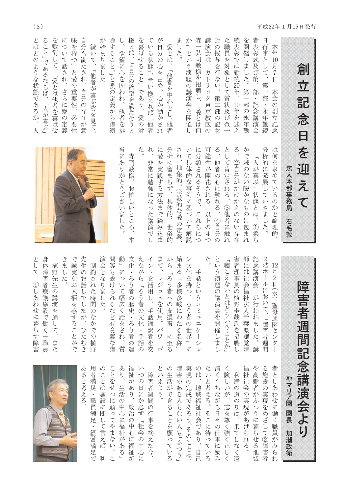創

 $\frac{1}{\sqrt{2}}$ 

記

念

 $\Box$ 

を

迎

元

 $\overline{\mathsf{C}}$ 

加瀬政衛

 $\sum_{\lambda}$ 極とは、 が自分の心を占め、心が動かされ 森一弘司教様を招聘し、「愛とは何 講演会は、 封 続 とはどのような状態であるか、人 が始まりました。 除すること。」と愛の定義から講演 を喜ばせること」であり、  $\tau$ ました。 た職員を対象として賞状及び金 を 者 味を持つ」と愛の重要性、 自分も満たされ、 か」という演題の講演会を開催 日 ること」であるならば、「人が喜ぶ」 を敷衍して、 について話され、 いる状態」、言い換えれば「他者 の授与を行ない、 表彰では勤続20年、 開 表彰式及び第二部・ 愛とは、「他者を中心とし、他者 行 続いて、「他者が喜ぶ姿を見て、 本 欲望に心を囚われ、 催しました。 事として、 年  $10$ 「自分の欲望を満たそうと 月7日、 カトリック東京教区 「愛とは他者を喜ばせ 第 さらに愛の定義 自分の存在が意 第一 本会の 部·永年勤続 第二部の記念 10 部の永年勤 記念講演会 他者を排 年を迎え 創 愛の対 必要性 『立記念  $\overline{O}$  $\cup$ た。 权 に分類されるそうで、これらにつ 可能性が開花される、  $\breve{\Diamond}$  $\sum_{i=1}^{n}$ 当にありがとうございました。 に愛を実践する方法まで踏み込ま 分析に留まらず、具体的、世俗的 され、抽象的、宗教的な愛の定義、 いて具体的な事例に基づいて解説 として肯定される、 かで棘のない暖かなものに包まれ 分析的に発展していきました。 は 何を求めているのかと論理的 森司教様、 「人が喜ぶ」状態とは、 非常に勉強になった講演で ②自分がかけがえのない存在 他者の心に触れる、 法人本部事務局 お忙しいところ、 3他者に触れ 以上の4つ ④自分の 石毛敦 1) 柔ら 本

|                                                                     | と<br>して、<br>①しあわせに暮らす障害                                                                                     |
|---------------------------------------------------------------------|-------------------------------------------------------------------------------------------------------------|
|                                                                     | 身体障害者療護施設<br>「で働く<br>職員                                                                                     |
|                                                                     | 植<br>野先<br>生<br>$\mathcal{O}$<br>講<br>前演を通<br>こして、<br>ま<br>た                                                |
|                                                                     | きま<br>た                                                                                                     |
|                                                                     | で<br>誠<br>実な<br>お<br>人<br>柄<br>を感ずること<br>が<br>で                                                             |
| ある<br>と考え<br>z                                                      | 先<br>生<br>$\mathcal{O}$<br>お<br>話<br>で<br>$\cup$<br>こたが<br>$\mathcal{L}_{\mathcal{L}}$<br>ひた<br>む<br>)<br>舌 |
| 用者満足<br>$\ddot{\phantom{0}}$<br>職員満足<br>経                           | 制<br>高約され<br>た時<br>間のな<br>かでの<br>植<br>野                                                                     |
| のことは施<br>設<br>ÏΣ<br>即<br>て言                                         | 演会<br>とな<br>りま<br>た                                                                                         |
| ことをせつ<br>に<br>願<br>つ<br>てやま                                         | 問等も設<br>汀<br>られる<br>など有意義な講                                                                                 |
| あ<br>$\sum_{i=1}^{n}$<br>生活<br>$\mathcal{O}$<br>中<br>心<br>に福祉       | 動<br>につ<br>いて幅広く話をされ<br>$\boldsymbol{\beta}$<br>質                                                           |
| 福<br>祉<br>が<br>あ<br>Ŋ<br>政<br>治<br>$\mathcal{O}$<br>中<br>心          | 文<br>ÍĖ<br>・ろう者<br>$\mathcal{O}$<br>歴<br>史・ろう者<br>$\mathcal{O}$<br>運                                        |
| Ņ١<br>$\hat{C}$<br>$\mathcal{O}$<br>日に<br>か<br>必ず<br>社会             | えながら<br>「ろう者の文化<br>$\ddot{\phantom{0}}$<br>手話<br>$\mathcal{O}$                                              |
| 障害者週<br>間<br>$\mathcal{O}$<br>行<br> 事を終                             | $\overline{b}$<br>を活<br>…<br>用<br>$\overline{L}$<br>手話通<br>訳者を交                                             |
| と<br>いえ<br>$\updownarrow$<br>$\sum_{i=1}^{n}$                       | まで<br>レジュメを使用<br>$\circ$<br>パワー<br>ポ                                                                        |
| $\mathcal{O}$<br>生活<br>が<br>できることを願                                 | から<br>「ろう者<br>$\widehat{\phantom{0}}$<br>の支援策」<br>に至る                                                       |
| 障害<br>のある<br>人<br>へもない<br>人も                                        | 始まる<br>「多様多岐<br>$\overline{C}$<br>わたる名称                                                                     |
| 実現の完成であろう。その                                                        | $\swarrow$<br>文化を持つ、<br>ろう者の世界<br>に                                                                         |
| $\mathcal{O}$<br>は、<br>地<br>域福<br>祉<br>一社会<br>であ                    | 手話<br>と<br>いうコミ<br>$\overline{\mathcal{L}}$<br>$\equiv$<br>ケ<br>$\exists$                                   |
| た<br>いと考える<br>$\circ$<br>そこに待                                       | た。                                                                                                          |
| 清く<br>、もちな<br>ぶら<br>日々<br>$\mathcal{O}$<br>仕                        | と<br>いう演<br>題<br>の講演会を開催<br>しまし                                                                             |
| $\, \leqslant$<br>険し<br>しいが<br>志を尊<br>強                             | 聴こえないとはどういうことか」                                                                                             |
| 私<br>達<br>の道<br>$\mathcal{O}$<br>りは<br>$\boldsymbol{\lambda}$<br>果て | 害者<br>理事長<br>の植<br>野圭哉氏を<br>招聘                                                                              |
| 福祉<br>社<br>会の<br>実現が<br>あげ<br>$\acute{b}$                           | 師<br>に<br>·は<br>社<br>会福祉法人千葉県聴覚障                                                                            |
| や高齢<br>者がふつうに暮ら                                                     | 記念<br>講<br>演<br>슺<br>」が行われました。<br>講                                                                         |
| $\zeta$<br>施<br>設<br>の実現を<br>めざし<br>$\tau$                          | $\mathbf{2}$<br>階<br>朩<br>$\mathcal{V}$<br>にお<br>いて、<br>「障害者週<br>間                                          |
| 者としあ<br>わ<br>せ<br>に<br>働<br>$\mathord{<}$<br>職員                     | 12<br>月<br>$\overline{c}$<br>日(水)、聖母通園セ<br>$\checkmark$<br>タ                                                |
| 聖マリア園 園長<br>加                                                       |                                                                                                             |
|                                                                     | 障害者週間記念講演会より                                                                                                |
|                                                                     |                                                                                                             |

 $\overline{L}$ 

| あ  | 用         | の                     | $\subset$             | あ             | 福             | い              |               | と  | $\mathcal{O}$       | 障             | 実             | $\mathcal{O}$ | た                     | 清                       |           |                | 福             | Ŷ          | る              | 者              |  |
|----|-----------|-----------------------|-----------------------|---------------|---------------|----------------|---------------|----|---------------------|---------------|---------------|---------------|-----------------------|-------------------------|-----------|----------------|---------------|------------|----------------|----------------|--|
| る  | 者         | $\tilde{\phantom{0}}$ | と                     | ŋ             | 祉             | つ              | 障             | V١ | 生                   | 害             | 現             | は             | い                     | $\lt$                   | 険         | 私              | 祉             | 高          | 施              | と              |  |
|    | 満         | と                     | を                     |               | が             | $\mathcal{O}$  | 害             | 之  | 活                   | $\mathcal{O}$ | $\mathcal{O}$ |               | と                     | P                       |           | 達              | 社             | 齢          | 設              |                |  |
| と考 | 足         | は                     | せ                     | 生             | あ             | 日              | 者             | よ  | が                   | あ             | 完             | 地             | 考                     | $\overline{5}$          | い         | $\mathcal{O}$  | 会             | 者          | $\mathcal{O}$  | しあ             |  |
| え  | $\bullet$ | 施                     | つ                     | 活             | ŋ             | に              | 週             | う  | で                   | $\zeta$       | 成             | 域             | え                     | な                       | が         | 道              | $\mathcal{O}$ | が          | 実              | わ              |  |
| る  | 職         | 設                     | に                     | $\mathcal{O}$ |               | か              | 間             |    | き                   | 人             | で             | 福             | る                     | が                       |           | $\mathcal{O}$  | 実             | $\infty$   | 現              | せ              |  |
|    | 員         | に                     | 願                     | 中             | 政             | 必              | $\mathcal{O}$ |    | $\zeta$             |               | あ             | 祉             |                       | ら                       | 志         | $\mathfrak{y}$ | 現             | $\bigcirc$ | を              | に              |  |
|    | 満         | 即                     | $\mathord\circ$       | 心             | 治             | ず              | 行             |    | $\mathord{\subset}$ | もな            | ろ             | 社             | そ                     | 日                       | を         | は              | が             | う          | め              | 働              |  |
|    | 足         |                       | $\tau$                | に             | $\mathcal{O}$ | $\overline{a}$ | 事             |    |                     | $\vee$        | う             | 会             | $\check{\phantom{a}}$ | $\not \vartriangleleft$ | 尊         |                | あ             | に          | E              | $\langle$      |  |
|    | $\bullet$ | て                     | Ŷ,                    | 福             | 中             | 社              | を             |    | とを                  |               |               |               | に                     | $\mathcal{O}$           | $\langle$ | 果              | げ             | 暮          | $\cup$         | 職              |  |
|    | 経         | 、言え                   | ま                     | 祉             | 心             | 会              | 終             |    | 願                   |               | こそ            | ごであ           | 待                     | 仕                       | 強         | $\tau$         | ら             | ら          | $\tau$         | 員              |  |
|    | 営         |                       | な                     | が             | に             | の              | 之             |    | $\overline{z}$      |               |               | ŋ             | $\mathord{\supset}$   | 事                       | $\langle$ |                | れ             | せ          | $^{\circledR}$ | が              |  |
|    | 満         | ば                     | い                     | あ             | 福             | 中              | た             |    | $\tau$              |               |               |               | $\tau$                | に                       | 正         | な              | る             | る          | 障              | $\overline{A}$ |  |
|    | 足         | $\sqrt{2}$            | $\circ$               | る             | 祉             | 心              | 今             |    | V١                  |               |               |               | い                     | 励                       |           |                |               | 地          | 害              | ら              |  |
|    | で         | 利                     | $\tilde{\phantom{0}}$ |               | が             | に              |               |    | る                   | 人も「ふつう」       | のことは、         | 自己            | る                     | $\cancel{7}$            |           | 遠              |               | 域          | 者              | れ              |  |



 $(3)$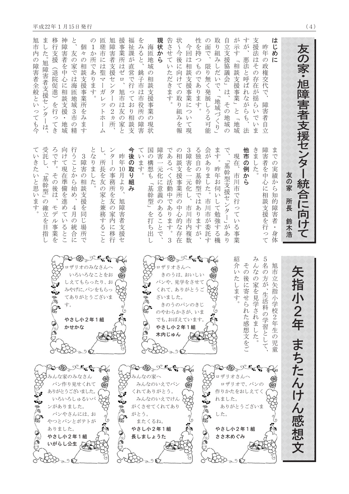| 友の家・旭障害者支援センター統合に向けて                                                                                | 友<br>の家<br>所長<br>鈴木浩                                                                           | 矢<br>指<br>小<br>2<br>年<br>まちた                                                                                        | んけん感想文                                                                                        |
|-----------------------------------------------------------------------------------------------------|------------------------------------------------------------------------------------------------|---------------------------------------------------------------------------------------------------------------------|-----------------------------------------------------------------------------------------------|
| は<br>じめ<br>昨<br>年の政権交代で<br>$\overline{C}$<br>障害者自立                                                  | 障害者を中<br>まで<br>の実績<br>心<br>か<br>$\zeta$<br>に<br>相談支援を行<br>知<br>的<br>障害者<br>・身体<br>つて           | 5<br>名<br>旭市<br>の方が、生活科の学習と<br>立矢指小<br>学校。<br>$\sqrt{2}$<br>年<br>生<br>$\mathcal{O}$<br>児<br>童                       |                                                                                               |
| すが<br>支援法<br>はそ<br>悪法と呼ばれながらも、<br>$\mathcal{O}$<br>存在<br>ぶ揺ら<br>いで<br>$\vee$<br>ま<br>法              | 他市の例から<br>きま<br>した                                                                             | $\overline{\mathcal{A}}$<br>$\lambda$<br>その後に寄せ<br>$\vec{z}$<br>の家を見<br>こられた感想文をご<br>兄学されました。                       | 20-08-2-50<br>ロザリオで、パンの<br>作りかたをおしえてく<br>ありがとうございま<br>やさし小2年1組                                |
| が示す<br>「相談支援事業」と「地域                                                                                 | 現在、<br>市川市で行っている事<br>業                                                                         | 紹<br>介<br>いたします                                                                                                     | ロザリオさんへ<br>ささ木めぐみ                                                                             |
| 自立支援協議会」は、<br>その地域の                                                                                 | で<br>「基幹型支援センタ<br>ー」があ<br>Ŋ                                                                    |                                                                                                                     | れました。                                                                                         |
| 取<br>り組<br>$\overline{z}$<br>しだいで、<br>「地域づくり」                                                       | ます。<br>昨年お伺<br>$\overline{V}$<br>して勉強する<br>機                                                   | SSS                                                                                                                 | した。                                                                                           |
| の面で、<br>限り無く発展しうる可能                                                                                 | 会がありました。<br>市川市が委託<br>寸                                                                        |                                                                                                                     |                                                                                               |
| 性を持<br>$\begin{array}{c} 1 \ 2 \ 4 \end{array}$<br>$\mathcal{O}$<br>であ<br>ります。                      | る独自の基幹型ではあ<br>りますが                                                                             |                                                                                                                     |                                                                                               |
| 状〜今後に向け<br>今回は相談支援事業につ<br>ての<br>取<br>り組<br>$\sqrt{ }$<br>みを報<br>$\tau$<br>現                         | 3障害を一元化し、<br>$\mathcal{O}$<br>相談支援事業所<br>$\mathcal{O}$<br>中<br>市川<br>心<br>的<br>市内複数<br>な存<br>在 | OF Bollet<br>ロザリオさんへ<br>きのうは、おいしい<br>パンや、見学をさせて<br>くれて、ありがとうご<br>きのうのパンのきじ<br>のやわらかさが、いま<br>でも、おぼえています。<br>やさし小2年1組 |                                                                                               |
| 告させていただきます。                                                                                         | であるべく活動中であ<br>ります。<br>3                                                                        | ざいました。<br>木内じゅん                                                                                                     | $20.68 - 2.57$<br>みんなのいえでパン<br>みんなのいえでけん<br>がくさせてくれてあり                                        |
| 現状から                                                                                                | 障害一元化に意義<br>のあることで、                                                                            |                                                                                                                     |                                                                                               |
| 海匝地域<br>$\mathcal{O}$<br>相<br>談支援事業<br>(の現状                                                         | 国<br>の構想も<br>「基幹型」を打ち出し                                                                        | 88<br>P.                                                                                                            | みんなの家へ<br>くれてありがとう。<br>またくるね。<br>やさし小2年1組<br>長しましょうた                                          |
| をみると、<br>銚<br>子市<br>は<br>市<br>役所<br>$\mathcal{O}$<br>障<br>害                                         | $\tau$<br>$\overline{V}$<br>ます。                                                                |                                                                                                                     | がとう。                                                                                          |
| 福祉課が直営で行<br>っており相談支                                                                                 | 今後の取<br>の組<br>み                                                                                |                                                                                                                     |                                                                                               |
| 援事業所はゼロ<br>旭市は友<br>の家と                                                                              | 昨年<br>10月より、<br>旭障害者支援セ                                                                        | භූභ                                                                                                                 |                                                                                               |
| 旭障害者支援センター<br>の2ヵ所                                                                                  | ンター<br>の事務所を友の家内に移行                                                                            |                                                                                                                     |                                                                                               |
| 匝<br>瑳市には聖<br>$\frac{1}{3}$<br>ガレ<br>Ŷ<br>$\overline{\mathcal{F}}$<br>ホ<br>$\overline{\mathcal{V}}$ | 所長を友<br>の家と兼務すること                                                                              |                                                                                                                     |                                                                                               |
| $\mathcal{O}$<br>1か所であります。                                                                          | とな<br>りました                                                                                     |                                                                                                                     |                                                                                               |
| 個<br>k<br>$\mathcal{O}$<br>相<br>談支援事業所を<br>こみます                                                     | 3 障害の相談支援を同じ場所<br>で                                                                            | 2008 - Rent<br>ロザリオのみなさんへ<br>いろいろなことをお<br>しえてもらったり、<br>みやげに、パンをもらっ<br>てありがとうございま<br>やさし小2年1組                        | Coto Chat<br>みんな家のみなさん<br>パン作り見せくれて<br>ありがとうございました。<br>いろいろしゅるいパ {<br>パンやさんには、お<br>やつとパンとポテトが |
| と、<br>友の家では海匝地域3市の精                                                                                 | 行うことから始め、<br>4月の統合に                                                                            | かせかな                                                                                                                | ンがありました。<br>やさし小2年1組<br>いがらし公生人                                                               |
| 神障害者を中心<br>に<br>相<br>"談支援<br>$\bullet$<br>地域                                                        | 向けて現在準備を進めて<br>$\backslash\!\!\backslash$<br>るとこ                                               | す。                                                                                                                  |                                                                                               |
| 移行支援<br>(退院促進)を行ってき                                                                                 | ろです。<br>その後は、<br>モデル事業を                                                                        | 88<br>$\mathbb{Q}$                                                                                                  | ありました。                                                                                        |
| ま<br>した。<br>旭<br>障害者支援センター<br>は、                                                                    | 受託<br>基幹型」の確立を目指<br>$\cup$                                                                     |                                                                                                                     |                                                                                               |
| 旭市<br>内<br>$\mathcal{O}$<br>障害者全般といっても今                                                             | ていきた<br>いと思います。                                                                                |                                                                                                                     | 88<br>$\mathbb{G}^2$                                                                          |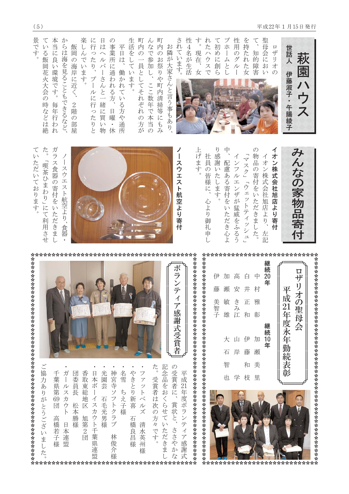



ていただいております。 ガラス食器の寄付をいただきまし 「喫茶ひまわり」にて利用させ  $\overline{1}$ スウエスト航空より、 食器







|  |              |                                 |                                               |                                                      | ボランティア感謝式受賞者                               |
|--|--------------|---------------------------------|-----------------------------------------------|------------------------------------------------------|--------------------------------------------|
|  | 光園芸<br>石毛光男様 | 神宮寺ソフトクラブ<br>名雪<br>ちえ子様<br>林俊介様 | やきとり新喜<br>ファットベルズ<br>石橋良昌様<br>清<br>一水英州!<br>様 | た。<br>記念品をおくらせて<br>受賞者は次の方々です。<br>いただきま<br>********* | の受賞者に、<br>平成21年度ボランティア感謝式<br>賞状と、<br>ささやかな |

 $(5)$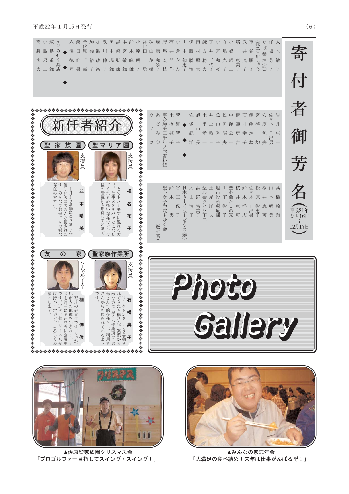| 高小飯か<br>澤田原瀬<br>瀬川中<br>島島<br>み<br>崎<br>文<br>丈昭重<br>徳節千裕政伸瑞弘敏峰明<br>具店<br>三雄<br>夫                                                                                                                                                                                                                                                                                                                                    | 穴 柴 千 加 加 泉 田 黒 本 鈴 小 常 秋 府 府 石 小 山 伊 田 鎌 宇 小 寺 小 塙 武 車<br>ち 保 大<br>宫木原田山馬馬井倉中藤村方<br>寄<br>ば<br>石<br>谷<br>坂木<br>井<br>宮<br>嶋<br>嶋<br>井<br>醤<br>油(株)<br>芳敏<br>茂<br>順<br>昭<br>恵美子<br>徳 節 千 裕 政 伸 瑞 弘 敏 峰 明   茂 和 宏 門 き 知 勝 照 勝 千 和 光<br>司 男 嘉 子 衛 子 雄 康 雄 雄 子 勇 樹 子 枝 作 ん 子 治 夫 夫 子 彦 子<br>会<br>子子<br>子子<br>三<br>$\overline{\mathcal{N}}$ |
|--------------------------------------------------------------------------------------------------------------------------------------------------------------------------------------------------------------------------------------------------------------------------------------------------------------------------------------------------------------------------------------------------------------------|---------------------------------------------------------------------------------------------------------------------------------------------------------------------------------------------------------------------------------------------------------------------------------------------------------------------------------------|
| ,,,,,,,,,,,,,,,,,,,,,,,,,,,,,,,<br>聖<br>家<br>族<br>聖<br>園<br>園<br>IJ<br>マ<br>ア<br>支援員<br>支援員                                                                                                                                                                                                                                                                                                                        | 者<br>佐旭土井魚松中伊石鵜<br>カあ宇<br>土菅<br>宮安佐岩<br>奈加!<br>ざ<br>多<br>橋<br>原<br>手上山田澤藤井澤澤原木井<br>美三千年<br>ワ<br>市<br>御<br>$7+$<br>俶智<br>孝敬秀昭公房<br>範<br>庄<br>幸か<br>包<br>且<br>出<br>洋長一三子夫一吉子ね均夫男<br>カ 会<br>子<br>子<br>館資料館<br>芳                                                                                                                          |
| 存在の方です。<br>  す。みんなのお母さんの様な<br>  す。みんなのお母さんの様な<br>- 後の活躍にも期待しています。「てくれる心強い存在です。今「で、仕事をテキパキとこなし」で、仕事をテキパキとこなし<br>椎<br>並<br>名<br>木<br>晴<br>祐<br>子<br>美                                                                                                                                                                                                                                                                | 名<br>聖<br>土<br>旭山聖桜鈴佐松桜山髙<br>谷<br>日<br>大浜<br>鈴<br>工 屋 洋 夫<br>爬市役所環境課<br>4心会かし。<br>本力<br>心会ヴィラ不<br>心<br>k<br>女子学院<br>$\equiv$<br>木木原井<br>山 野<br>本 橋<br>ソリュ<br>保<br>清<br>富美子<br>恵洋<br>智<br>恵明輪<br>日<br>平成21年<br>の<br>家可志男<br>恵子<br>$\tilde{f}$<br>子<br>子<br>可美業<br>9月16日<br>ゆる会<br>ション<br>$\int$<br>(敬称略)<br>12月17日<br>·ズ(株             |
| 友<br>家<br>聖家族作業所<br>の<br>支援員<br>イシャルワーカ<br>でさ<br>母<br>すんさなてワ<br><sup>。</sup> 、、 +  キ    <b>石</b><br><b>願けでビ旭</b><br>い持すを市32楠<br>やややややややややややや<br>"片内才<br><b>、きた石橋さん。:</b><br>シークセンターよ<br>やややややややややややや<br>↷<br>んからも頼られているようさん」的存在として利用者な方で、早くも作業所の「おくきた石橋さん。 笑顔が素くきた石橋さん。 笑顔が素<br>します。<br>つ予定です。よろしくおころしくおいます。個別ケースも受け手に奮闘サースも受け手に全戸訪問に奮闘中がのりません。<br>この手に全戸訪問に奮闘中の、ナイの好青年です。もっか、<br>子<br>*************************** | Gallery                                                                                                                                                                                                                                                                                                                               |



▲佐原聖家族園クリスマス会 「プロゴルファー目指してスイング・スイング!」



▲みんなの家忘年会 「大満足の食べ納め!来年は仕事がんばるぞ!」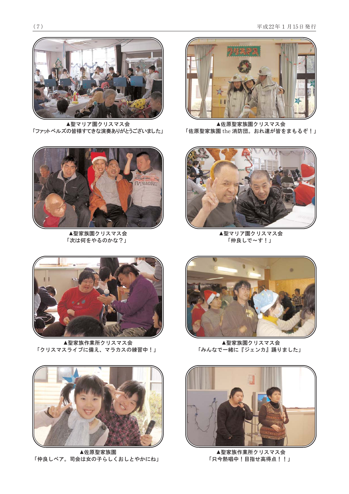

▲聖マリア園クリスマス会 「ファットベルズの皆様すてきな演奏ありがとうございました」



▲聖家族園クリスマス会 「次は何をやるのかな?」



▲佐原聖家族園クリスマス会 「佐原聖家族園 the 消防団。おれ達が皆をまもるぞ!」



▲聖マリア園クリスマス会 「仲良しで~す!」



▲聖家族作業所クリスマス会 「クリスマスライブに備え、マラカスの練習中!」



▲佐原聖家族園 「仲良しペア。司会は女の子らしくおしとやかにね」



▲聖家族園クリスマス会 「みんなで一緒に『ジェンカ』踊りました」



▲聖家族作業所クリスマス会 「只今熱唱中!目指せ高得点!!」